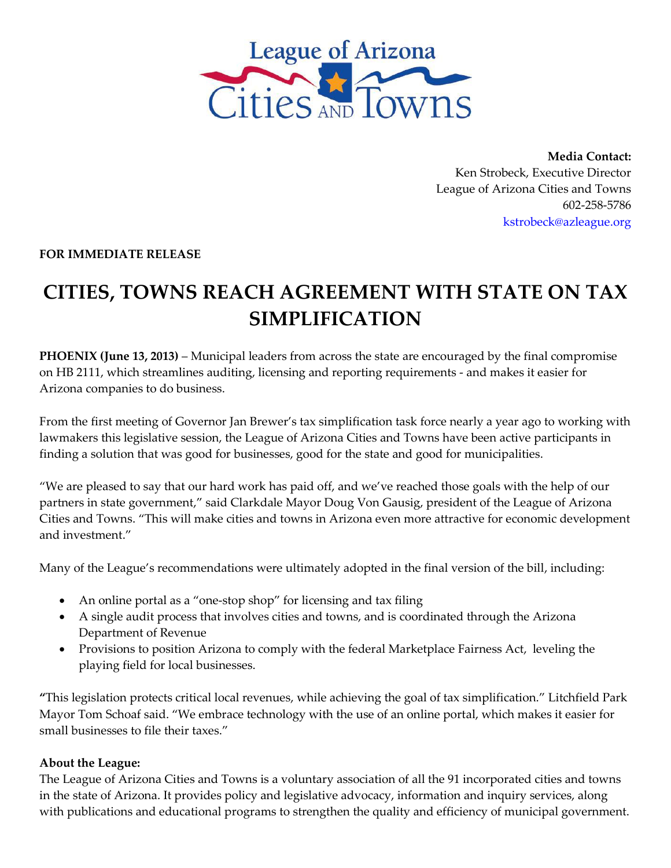

**Media Contact:** Ken Strobeck, Executive Director League of Arizona Cities and Towns 602‐258‐5786 kstrobeck@azleague.org

**FOR IMMEDIATE RELEASE**

## **CITIES, TOWNS REACH AGREEMENT WITH STATE ON TAX SIMPLIFICATION**

**PHOENIX (June 13, 2013)** – Municipal leaders from across the state are encouraged by the final compromise on HB 2111, which streamlines auditing, licensing and reporting requirements - and makes it easier for Arizona companies to do business.

From the first meeting of Governor Jan Brewer's tax simplification task force nearly a year ago to working with lawmakers this legislative session, the League of Arizona Cities and Towns have been active participants in finding a solution that was good for businesses, good for the state and good for municipalities.

"We are pleased to say that our hard work has paid off, and we've reached those goals with the help of our partners in state government," said Clarkdale Mayor Doug Von Gausig, president of the League of Arizona Cities and Towns. "This will make cities and towns in Arizona even more attractive for economic development and investment."

Many of the League's recommendations were ultimately adopted in the final version of the bill, including:

- An online portal as a "one‐stop shop" for licensing and tax filing
- A single audit process that involves cities and towns, and is coordinated through the Arizona Department of Revenue
- Provisions to position Arizona to comply with the federal Marketplace Fairness Act, leveling the playing field for local businesses.

**"**This legislation protects critical local revenues, while achieving the goal of tax simplification." Litchfield Park Mayor Tom Schoaf said. "We embrace technology with the use of an online portal, which makes it easier for small businesses to file their taxes."

## **About the League:**

The League of Arizona Cities and Towns is a voluntary association of all the 91 incorporated cities and towns in the state of Arizona. It provides policy and legislative advocacy, information and inquiry services, along with publications and educational programs to strengthen the quality and efficiency of municipal government.